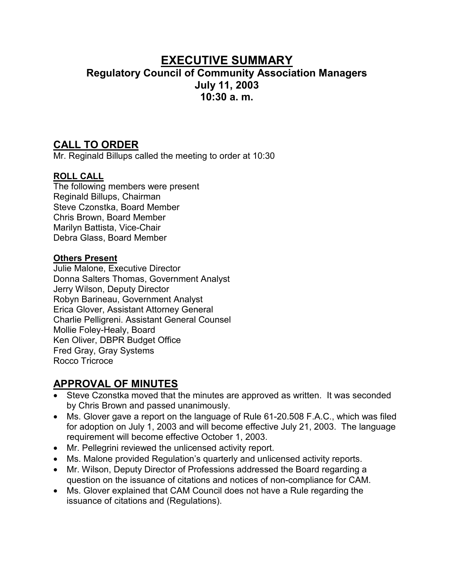# **EXECUTIVE SUMMARY Regulatory Council of Community Association Managers July 11, 2003 10:30 a. m.**

### **CALL TO ORDER**

Mr. Reginald Billups called the meeting to order at 10:30

### **ROLL CALL**

The following members were present Reginald Billups, Chairman Steve Czonstka, Board Member Chris Brown, Board Member Marilyn Battista, Vice-Chair Debra Glass, Board Member

### **Others Present**

Julie Malone, Executive Director Donna Salters Thomas, Government Analyst Jerry Wilson, Deputy Director Robyn Barineau, Government Analyst Erica Glover, Assistant Attorney General Charlie Pelligreni. Assistant General Counsel Mollie Foley-Healy, Board Ken Oliver, DBPR Budget Office Fred Gray, Gray Systems Rocco Tricroce

## **APPROVAL OF MINUTES**

- Steve Czonstka moved that the minutes are approved as written. It was seconded by Chris Brown and passed unanimously.
- Ms. Glover gave a report on the language of Rule 61-20.508 F.A.C., which was filed for adoption on July 1, 2003 and will become effective July 21, 2003. The language requirement will become effective October 1, 2003.
- Mr. Pellegrini reviewed the unlicensed activity report.
- Ms. Malone provided Regulation's quarterly and unlicensed activity reports.
- Mr. Wilson, Deputy Director of Professions addressed the Board regarding a question on the issuance of citations and notices of non-compliance for CAM.
- Ms. Glover explained that CAM Council does not have a Rule regarding the issuance of citations and (Regulations).